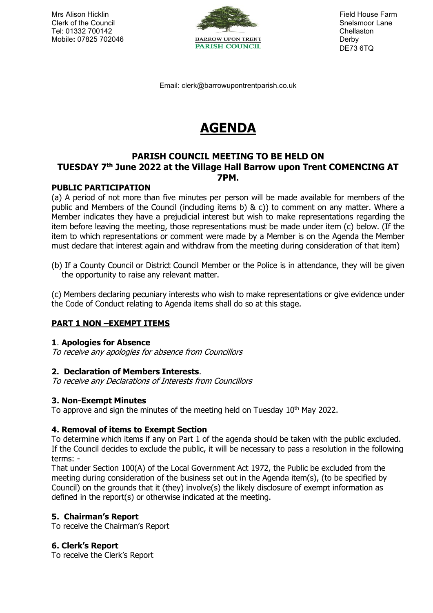

DE73 6TQ

Email: clerk@barrowupontrentparish.co.uk

# **AGENDA**

# **PARISH COUNCIL MEETING TO BE HELD ON**

# **TUESDAY 7 th June 2022 at the Village Hall Barrow upon Trent COMENCING AT 7PM.**

# **PUBLIC PARTICIPATION**

(a) A period of not more than five minutes per person will be made available for members of the public and Members of the Council (including items b) & c)) to comment on any matter. Where a Member indicates they have a prejudicial interest but wish to make representations regarding the item before leaving the meeting, those representations must be made under item (c) below. (If the item to which representations or comment were made by a Member is on the Agenda the Member must declare that interest again and withdraw from the meeting during consideration of that item)

(b) If a County Council or District Council Member or the Police is in attendance, they will be given the opportunity to raise any relevant matter.

(c) Members declaring pecuniary interests who wish to make representations or give evidence under the Code of Conduct relating to Agenda items shall do so at this stage.

# **PART 1 NON –EXEMPT ITEMS**

#### **1**. **Apologies for Absence**

To receive any apologies for absence from Councillors

#### **2. Declaration of Members Interests**.

To receive any Declarations of Interests from Councillors

#### **3. Non-Exempt Minutes**

To approve and sign the minutes of the meeting held on Tuesday  $10<sup>th</sup>$  May 2022.

#### **4. Removal of items to Exempt Section**

To determine which items if any on Part 1 of the agenda should be taken with the public excluded. If the Council decides to exclude the public, it will be necessary to pass a resolution in the following terms: -

That under Section 100(A) of the Local Government Act 1972, the Public be excluded from the meeting during consideration of the business set out in the Agenda item(s), (to be specified by Council) on the grounds that it (they) involve(s) the likely disclosure of exempt information as defined in the report(s) or otherwise indicated at the meeting.

# **5. Chairman's Report**

To receive the Chairman's Report

#### **6. Clerk's Report**

To receive the Clerk's Report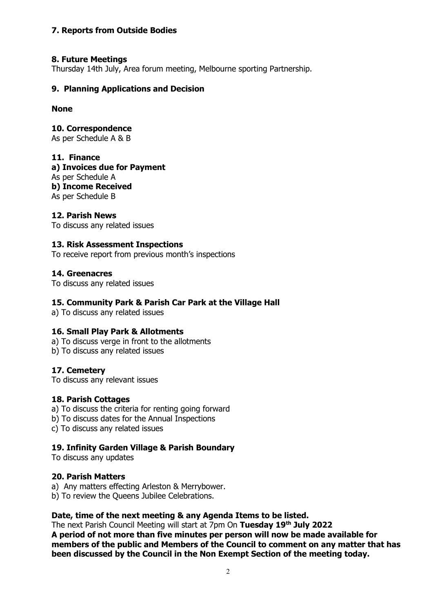# **7. Reports from Outside Bodies**

# **8. Future Meetings**

Thursday 14th July, Area forum meeting, Melbourne sporting Partnership.

# **9. Planning Applications and Decision**

**None**

**10. Correspondence**  As per Schedule A & B

### **11. Finance**

**a) Invoices due for Payment** As per Schedule A **b) Income Received** As per Schedule B

# **12. Parish News**

To discuss any related issues

# **13. Risk Assessment Inspections**

To receive report from previous month's inspections

# **14. Greenacres**

To discuss any related issues

## **15. Community Park & Parish Car Park at the Village Hall**

a) To discuss any related issues

#### **16. Small Play Park & Allotments**

a) To discuss verge in front to the allotments

b) To discuss any related issues

# **17. Cemetery**

To discuss any relevant issues

#### **18. Parish Cottages**

a) To discuss the criteria for renting going forward

b) To discuss dates for the Annual Inspections

c) To discuss any related issues

#### **19. Infinity Garden Village & Parish Boundary**

To discuss any updates

## **20. Parish Matters**

a) Any matters effecting Arleston & Merrybower.

b) To review the Queens Jubilee Celebrations.

# **Date, time of the next meeting & any Agenda Items to be listed.**

The next Parish Council Meeting will start at 7pm On **Tuesday 19th July 2022 A period of not more than five minutes per person will now be made available for members of the public and Members of the Council to comment on any matter that has been discussed by the Council in the Non Exempt Section of the meeting today.**